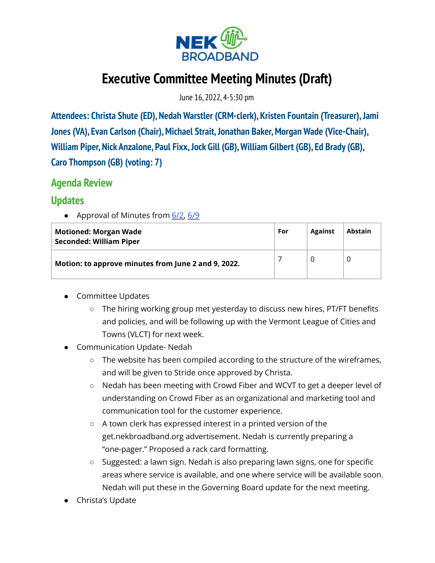

# **Executive Committee Meeting Minutes (Draft)**

June 16, 2022, 4-5:30 pm

**Attendees: Christa Shute (ED), Nedah Warstler (CRM-clerk), Kristen Fountain (Treasurer),Jami Jones** (VA), Evan Carlson (Chair), Michael Strait, Jonathan Baker, Morgan Wade (Vice-Chair), **William Piper, Nick Anzalone, Paul Fixx,Jock Gill (GB),William Gilbert (GB), Ed Brady (GB), Caro Thompson (GB) (voting: 7)**

## **Agenda Review**

## **Updates**

● Approval of Minutes from 6/2, 6/9

| <b>Motioned: Morgan Wade</b><br><b>Seconded: William Piper</b> | For | <b>Against</b> | <b>Abstain</b> |
|----------------------------------------------------------------|-----|----------------|----------------|
| Motion: to approve minutes from June 2 and 9, 2022.            |     |                |                |

- Committee Updates
	- The hiring working group met yesterday to discuss new hires, PT/FT benefits and policies, and will be following up with the Vermont League of Cities and Towns (VLCT) for next week.
- Communication Update- Nedah
	- The website has been compiled according to the structure of the wireframes, and will be given to Stride once approved by Christa.
	- Nedah has been meeting with Crowd Fiber and WCVT to get a deeper level of understanding on Crowd Fiber as an organizational and marketing tool and communication tool for the customer experience.
	- A town clerk has expressed interest in a printed version of the get.nekbroadband.org advertisement. Nedah is currently preparing a "one-pager." Proposed a rack card formatting.
	- Suggested: a lawn sign. Nedah is also preparing lawn signs, one for specific areas where service is available, and one where service will be available soon. Nedah will put these in the Governing Board update for the next meeting.
- Christa's Update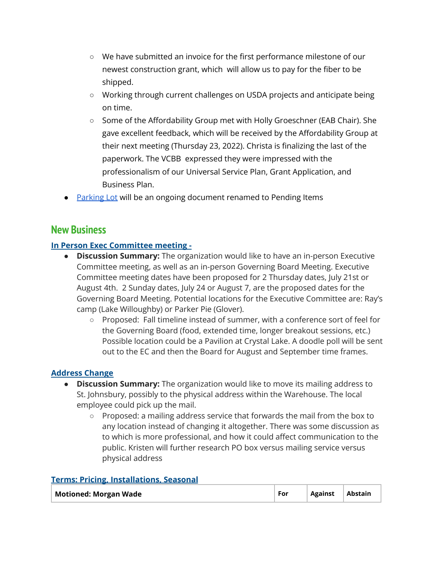- We have submitted an invoice for the first performance milestone of our newest construction grant, which will allow us to pay for the fiber to be shipped.
- Working through current challenges on USDA projects and anticipate being on time.
- Some of the Affordability Group met with Holly Groeschner (EAB Chair). She gave excellent feedback, which will be received by the Affordability Group at their next meeting (Thursday 23, 2022). Christa is finalizing the last of the paperwork. The VCBB expressed they were impressed with the professionalism of our Universal Service Plan, Grant Application, and Business Plan.
- **Parking Lot will be an ongoing document renamed to Pending Items**

## **New Business**

#### **In Person Exec Committee meeting -**

- **● Discussion Summary:** The organization would like to have an in-person Executive Committee meeting, as well as an in-person Governing Board Meeting. Executive Committee meeting dates have been proposed for 2 Thursday dates, July 21st or August 4th. 2 Sunday dates, July 24 or August 7, are the proposed dates for the Governing Board Meeting. Potential locations for the Executive Committee are: Ray's camp (Lake Willoughby) or Parker Pie (Glover).
	- **○** Proposed: Fall timeline instead of summer, with a conference sort of feel for the Governing Board (food, extended time, longer breakout sessions, etc.) Possible location could be a Pavilion at Crystal Lake. A doodle poll will be sent out to the EC and then the Board for August and September time frames.

#### **Address Change**

- **● Discussion Summary:** The organization would like to move its mailing address to St. Johnsbury, possibly to the physical address within the Warehouse. The local employee could pick up the mail.
	- Proposed: a mailing address service that forwards the mail from the box to any location instead of changing it altogether. There was some discussion as to which is more professional, and how it could affect communication to the public. Kristen will further research PO box versus mailing service versus physical address

|  |  | <b>Terms: Pricing, Installations, Seasonal</b> |
|--|--|------------------------------------------------|
|  |  |                                                |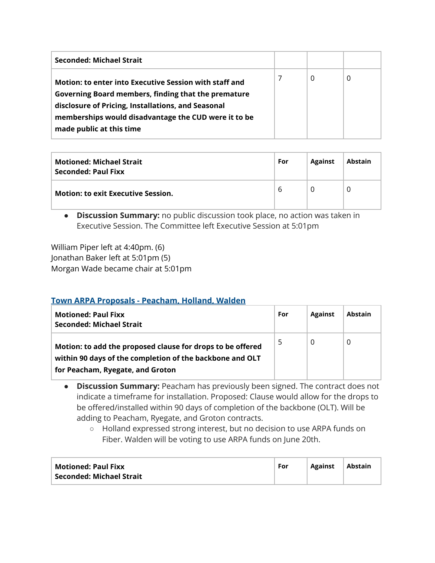| Seconded: Michael Strait                                                                                                                                                                                                                                |   |   |   |
|---------------------------------------------------------------------------------------------------------------------------------------------------------------------------------------------------------------------------------------------------------|---|---|---|
| Motion: to enter into Executive Session with staff and<br>Governing Board members, finding that the premature<br>disclosure of Pricing, Installations, and Seasonal<br>memberships would disadvantage the CUD were it to be<br>made public at this time | 7 | 0 | 0 |

| <b>Motioned: Michael Strait</b><br>Seconded: Paul Fixx | For | <b>Against</b> | <b>Abstain</b> |
|--------------------------------------------------------|-----|----------------|----------------|
| <b>Motion: to exit Executive Session.</b>              | 6   | $\mathcal{L}$  |                |

**● Discussion Summary:** no public discussion took place, no action was taken in Executive Session. The Committee left Executive Session at 5:01pm

William Piper left at 4:40pm. (6) Jonathan Baker left at 5:01pm (5) Morgan Wade became chair at 5:01pm

#### **Town ARPA Proposals - Peacham, Holland, Walden**

| <b>Motioned: Paul Fixx</b><br><b>Seconded: Michael Strait</b>                                                                                              | For | <b>Against</b> | <b>Abstain</b> |
|------------------------------------------------------------------------------------------------------------------------------------------------------------|-----|----------------|----------------|
| Motion: to add the proposed clause for drops to be offered<br>within 90 days of the completion of the backbone and OLT<br>for Peacham, Ryegate, and Groton | 5   | 0              |                |

- **● Discussion Summary:** Peacham has previously been signed. The contract does not indicate a timeframe for installation. Proposed: Clause would allow for the drops to be offered/installed within 90 days of completion of the backbone (OLT). Will be adding to Peacham, Ryegate, and Groton contracts.
	- Holland expressed strong interest, but no decision to use ARPA funds on Fiber. Walden will be voting to use ARPA funds on June 20th.

| <b>Motioned: Paul Fixx</b> | For | Against | <b>Abstain</b> |
|----------------------------|-----|---------|----------------|
| Seconded: Michael Strait   |     |         |                |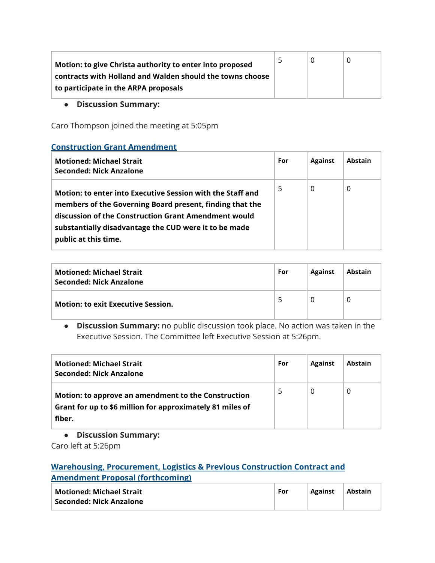| Motion: to give Christa authority to enter into proposed  | 5 |  |
|-----------------------------------------------------------|---|--|
| contracts with Holland and Walden should the towns choose |   |  |
| to participate in the ARPA proposals                      |   |  |

**● Discussion Summary:**

Caro Thompson joined the meeting at 5:05pm

#### **Construction Grant Amendment**

| <b>Motioned: Michael Strait</b><br>Seconded: Nick Anzalone                                                                                                                                                                                                      | For | <b>Against</b> | <b>Abstain</b> |
|-----------------------------------------------------------------------------------------------------------------------------------------------------------------------------------------------------------------------------------------------------------------|-----|----------------|----------------|
| Motion: to enter into Executive Session with the Staff and<br>members of the Governing Board present, finding that the<br>discussion of the Construction Grant Amendment would<br>substantially disadvantage the CUD were it to be made<br>public at this time. | 5   | 0              | 0              |

| <b>Motioned: Michael Strait</b><br>Seconded: Nick Anzalone | For | <b>Against</b> | Abstain |
|------------------------------------------------------------|-----|----------------|---------|
| <b>Motion: to exit Executive Session.</b>                  | 5   |                |         |

**● Discussion Summary:** no public discussion took place. No action was taken in the Executive Session. The Committee left Executive Session at 5:26pm.

| <b>Motioned: Michael Strait</b><br>Seconded: Nick Anzalone                                                                 | For | <b>Against</b> | <b>Abstain</b> |
|----------------------------------------------------------------------------------------------------------------------------|-----|----------------|----------------|
| Motion: to approve an amendment to the Construction<br>Grant for up to \$6 million for approximately 81 miles of<br>fiber. | 5   | 0              | 0              |

**● Discussion Summary:**

Caro left at 5:26pm

#### **Warehousing, Procurement, Logistics & Previous Construction Contract and Amendment Proposal (forthcoming)**

| <b>Motioned: Michael Strait</b> | For | <b>Against</b> | Abstain |
|---------------------------------|-----|----------------|---------|
| ้ Seconded: Nick Anzalone       |     |                |         |